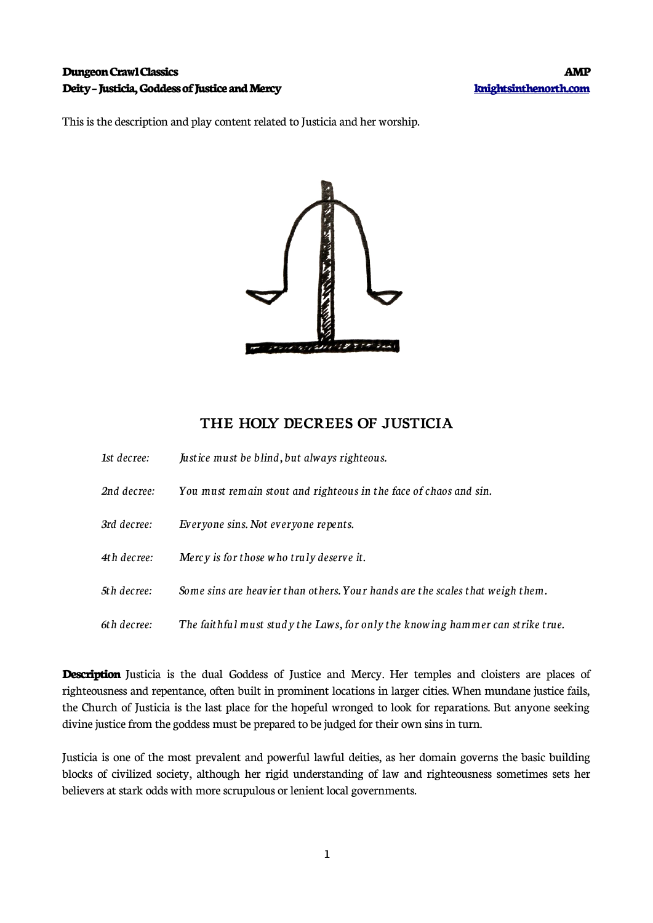### **Dungeon Crawl Classics AMP Deity – Justicia, Goddess of Justice and Mercy [knightsinthenorth.com](http://knightsinthenorth.com/)**

This is the description and play content related to Justicia and her worship.



## **THE HOLY DECREES OF JUSTICIA**

| 1st decree: | Justice must be blind, but always righteous.                                   |
|-------------|--------------------------------------------------------------------------------|
| 2nd decree: | You must remain stout and righteous in the face of chaos and sin.              |
| 3rd decree: | Everyone sins. Not everyone repents.                                           |
| 4th decree: | Mercy is for those who truly deserve it.                                       |
| 5th decree: | Some sins are heavier than others. Your hands are the scales that weigh them.  |
| 6th decree: | The faithful must study the Laws, for only the knowing hammer can strike true. |

**Description** Justicia is the dual Goddess of Justice and Mercy. Her temples and cloisters are places of righteousness and repentance, often built in prominent locations in larger cities. When mundane justice fails, the Church of Justicia is the last place for the hopeful wronged to look for reparations. But anyone seeking divine justice from the goddess must be prepared to be judged for their own sins in turn.

Justicia is one of the most prevalent and powerful lawful deities, as her domain governs the basic building blocks of civilized society, although her rigid understanding of law and righteousness sometimes sets her believers at stark odds with more scrupulous or lenient local governments.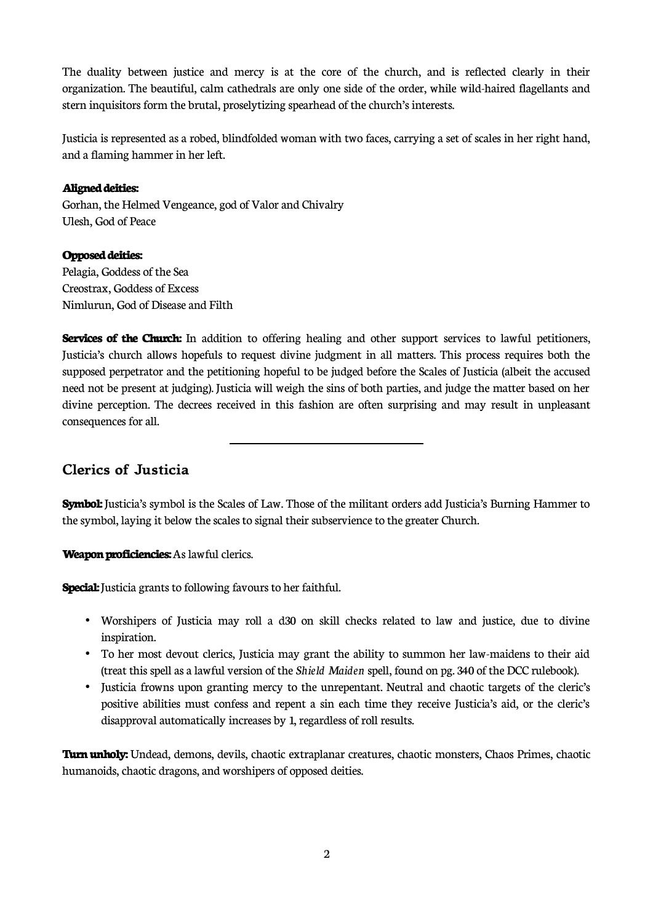The duality between justice and mercy is at the core of the church, and is reflected clearly in their organization. The beautiful, calm cathedrals are only one side of the order, while wild-haired flagellants and stern inquisitors form the brutal, proselytizing spearhead of the church's interests.

Justicia is represented as a robed, blindfolded woman with two faces, carrying a set of scales in her right hand, and a flaming hammer in her left.

#### **Aligned deities:**

Gorhan, the Helmed Vengeance, god of Valor and Chivalry Ulesh, God of Peace

#### **Opposed deities:**

Pelagia, Goddess of the Sea Creostrax, Goddess of Excess Nimlurun, God of Disease and Filth

**Services of the Church:** In addition to offering healing and other support services to lawful petitioners, Justicia's church allows hopefuls to request divine judgment in all matters. This process requires both the supposed perpetrator and the petitioning hopeful to be judged before the Scales of Justicia (albeit the accused need not be present at judging). Justicia will weigh the sins of both parties, and judge the matter based on her divine perception. The decrees received in this fashion are often surprising and may result in unpleasant consequences for all.

# **Clerics of Justicia**

**Symbol:** Justicia's symbol is the Scales of Law. Those of the militant orders add Justicia's Burning Hammer to the symbol, laying it below the scales to signal their subservience to the greater Church.

**Weapon proficiencies:** As lawful clerics.

**Special:** Justicia grants to following favours to her faithful.

 $\overline{\phantom{a}}$ 

- Worshipers of Justicia may roll a d30 on skill checks related to law and justice, due to divine inspiration.
- To her most devout clerics, Justicia may grant the ability to summon her law-maidens to their aid (treat this spell as a lawful version of the *Shield Maiden* spell, found on pg. 340 of the DCC rulebook).
- Justicia frowns upon granting mercy to the unrepentant. Neutral and chaotic targets of the cleric's positive abilities must confess and repent a sin each time they receive Justicia's aid, or the cleric's disapproval automatically increases by 1, regardless of roll results.

**Turn unholy:** Undead, demons, devils, chaotic extraplanar creatures, chaotic monsters, Chaos Primes, chaotic humanoids, chaotic dragons, and worshipers of opposed deities.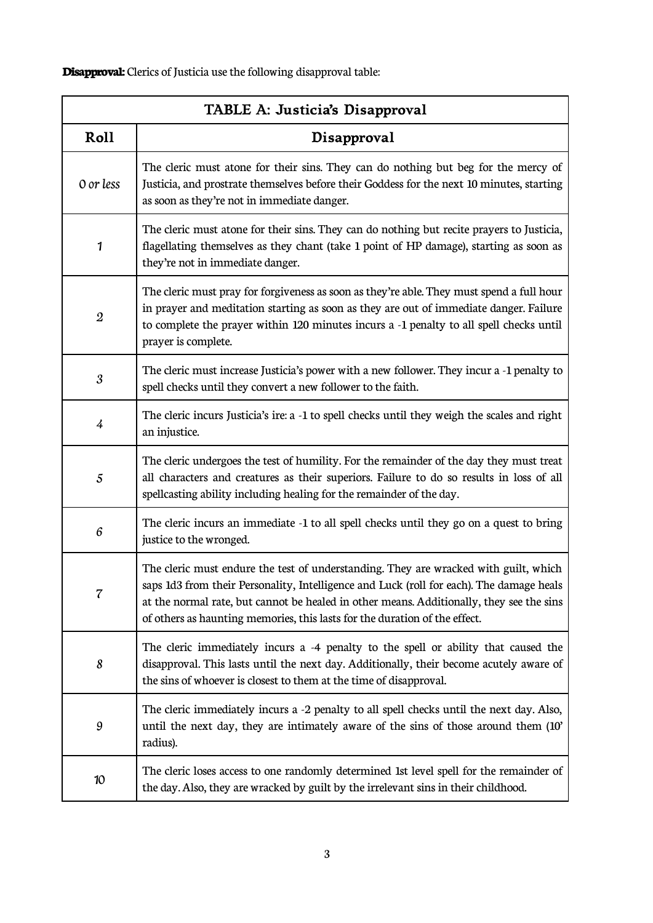**Disapproval:** Clerics of Justicia use the following disapproval table:

| TABLE A: Justicia's Disapproval |                                                                                                                                                                                                                                                                                                                                                            |  |
|---------------------------------|------------------------------------------------------------------------------------------------------------------------------------------------------------------------------------------------------------------------------------------------------------------------------------------------------------------------------------------------------------|--|
| Roll                            | Disapproval                                                                                                                                                                                                                                                                                                                                                |  |
| 0 or less                       | The cleric must atone for their sins. They can do nothing but beg for the mercy of<br>Justicia, and prostrate themselves before their Goddess for the next 10 minutes, starting<br>as soon as they're not in immediate danger.                                                                                                                             |  |
| $\mathbf{1}$                    | The cleric must atone for their sins. They can do nothing but recite prayers to Justicia,<br>flagellating themselves as they chant (take 1 point of HP damage), starting as soon as<br>they're not in immediate danger.                                                                                                                                    |  |
| $\boldsymbol{2}$                | The cleric must pray for forgiveness as soon as they're able. They must spend a full hour<br>in prayer and meditation starting as soon as they are out of immediate danger. Failure<br>to complete the prayer within 120 minutes incurs a -1 penalty to all spell checks until<br>prayer is complete.                                                      |  |
| 3                               | The cleric must increase Justicia's power with a new follower. They incur a -1 penalty to<br>spell checks until they convert a new follower to the faith.                                                                                                                                                                                                  |  |
| 4                               | The cleric incurs Justicia's ire: a -1 to spell checks until they weigh the scales and right<br>an injustice.                                                                                                                                                                                                                                              |  |
| 5                               | The cleric undergoes the test of humility. For the remainder of the day they must treat<br>all characters and creatures as their superiors. Failure to do so results in loss of all<br>spellcasting ability including healing for the remainder of the day.                                                                                                |  |
| 6                               | The cleric incurs an immediate -1 to all spell checks until they go on a quest to bring<br>justice to the wronged.                                                                                                                                                                                                                                         |  |
| 7                               | The cleric must endure the test of understanding. They are wracked with guilt, which<br>saps 1d3 from their Personality, Intelligence and Luck (roll for each). The damage heals<br>at the normal rate, but cannot be healed in other means. Additionally, they see the sins<br>of others as haunting memories, this lasts for the duration of the effect. |  |
| 8                               | The cleric immediately incurs a -4 penalty to the spell or ability that caused the<br>disapproval. This lasts until the next day. Additionally, their become acutely aware of<br>the sins of whoever is closest to them at the time of disapproval.                                                                                                        |  |
| 9                               | The cleric immediately incurs a -2 penalty to all spell checks until the next day. Also,<br>until the next day, they are intimately aware of the sins of those around them (10'<br>radius).                                                                                                                                                                |  |
| 10                              | The cleric loses access to one randomly determined 1st level spell for the remainder of<br>the day. Also, they are wracked by guilt by the irrelevant sins in their childhood.                                                                                                                                                                             |  |